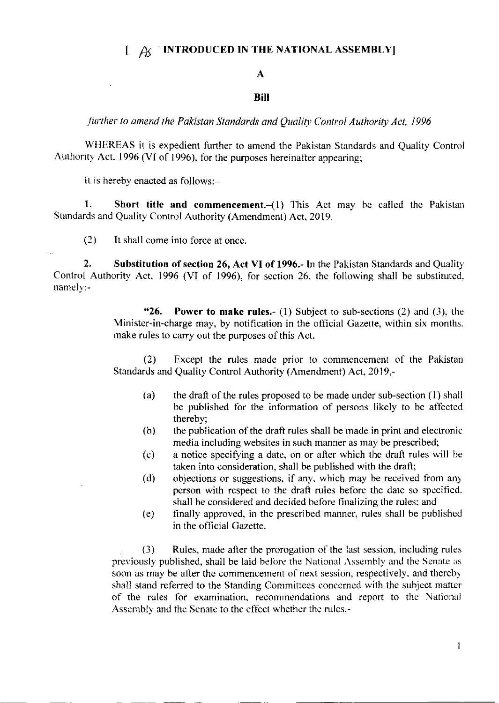## $1 \text{ } \mathcal{A}$  INTRODUCED IN THE NATIONAL ASSEMBLY]

## A

## Bill

further to amend the Pakistan Standards and Quality Control Authority Act, 1996

WHEREAS it is expedient further to amend the Pakistan Standards and Quality Control Authority Act. 1996 (VI of 1996), for the purposes hereinafter appearing;

It is hereby enacted as follows:-

1. Short title and commencement. $-(1)$  This Act may be called the Pakistan Standards and Quality Control Authority (Amendment) Act, 2019.

(2) It shall come into force at oncc.

2. Substitution of section 26, Act VI of 1996.- In the Pakistan Standards and Quality Control Authority Act, 1996 (VI of 1996), for section 26, the following shall be substituted. namely:-

> "26. Power to make rules.- (1) Subject to sub-sections (2) and (3), the Minister-in-charge may, by notification in the official Gazette, within six months. make rules to carry out the purposes of this Act.

> (2) Except the rules made prior to commencement of the Pakistan Standards and Quality Control Authority (Amendment) Act, 2019,-

- (a) the draft of the rules proposed to be made under sub-section  $(1)$  shall be published for the information of persons likely to be affected thereby;
- $(b)$  the publication of the draft rules shall be made in print and electronic media including websites in such manner as may be prescribed;
- $(c)$  a notice specifying a date, on or after which the draft rules will be taken into consideration, shall be published with the draft;<br>(d) objections or suggestions, if any, which may be received from any
- person with respect to the draft rules before the date so specified. shall be considered and decided before finalizing the rules; and
- (e) finally approved, in the prescribed marner. rules shall be published in the official Gazette.

 $\mathbf{I}$ 

(3) Rules, made after the prorogation of the last session. including rules previously published, shall be laid before the National Assembly and the Senate as soon as may be after the commencement of next session, respectively, and thereby shall stand referred to the Standing Committees concerned with the subject matter of the rules for examination, recommendations and report to the National Assembly and the Senate to the effect whether the rules,-